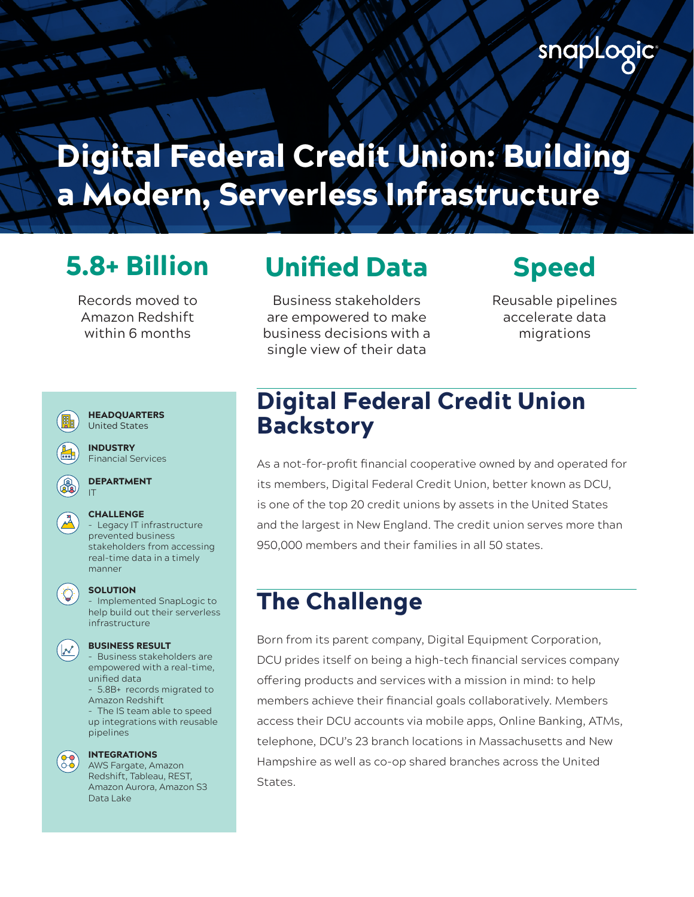# Digital Federal Credit Union: Building a Modern, Serverless Infrastructure

Records moved to Amazon Redshift within 6 months

## 5.8+ Billion Unified Data Speed

Business stakeholders are empowered to make business decisions with a single view of their data

Reusable pipelines accelerate data migrations



stakeholders from accessing real-time data in a timely

### **SOLUTION**

- Implemented SnapLogic to help build out their serverless infrastructure

- Business stakeholders are empowered with a real-time, unified data

- 5.8B+ records migrated to Amazon Redshift

- The IS team able to speed up integrations with reusable pipelines



### INTEGRATIONS

AWS Fargate, Amazon Redshift, Tableau, REST, Amazon Aurora, Amazon S3 Data Lake

### Digital Federal Credit Union **Backstory**

As a not-for-profit financial cooperative owned by and operated for its members, Digital Federal Credit Union, better known as DCU, is one of the top 20 credit unions by assets in the United States and the largest in New England. The credit union serves more than 950,000 members and their families in all 50 states.

### The Challenge

Born from its parent company, Digital Equipment Corporation, DCU prides itself on being a high-tech financial services company offering products and services with a mission in mind: to help members achieve their financial goals collaboratively. Members access their DCU accounts via mobile apps, Online Banking, ATMs, telephone, DCU's 23 branch locations in Massachusetts and New Hampshire as well as co-op shared branches across the United States.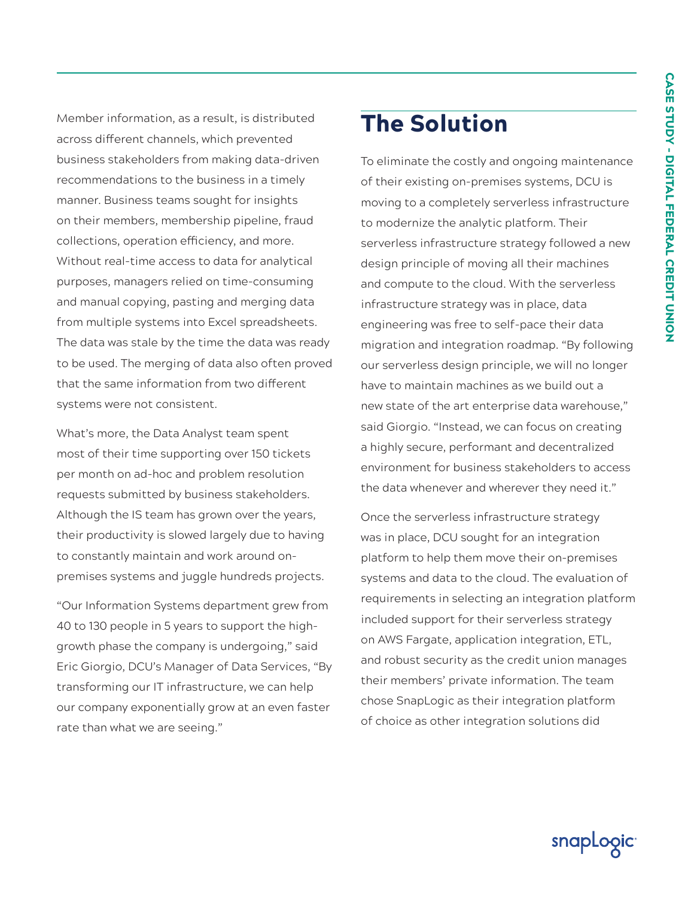Member information, as a result, is distributed across different channels, which prevented business stakeholders from making data-driven recommendations to the business in a timely manner. Business teams sought for insights on their members, membership pipeline, fraud collections, operation efficiency, and more. Without real-time access to data for analytical purposes, managers relied on time-consuming and manual copying, pasting and merging data from multiple systems into Excel spreadsheets. The data was stale by the time the data was ready to be used. The merging of data also often proved that the same information from two different systems were not consistent.

What's more, the Data Analyst team spent most of their time supporting over 150 tickets per month on ad-hoc and problem resolution requests submitted by business stakeholders. Although the IS team has grown over the years, their productivity is slowed largely due to having to constantly maintain and work around onpremises systems and juggle hundreds projects.

"Our Information Systems department grew from 40 to 130 people in 5 years to support the highgrowth phase the company is undergoing," said Eric Giorgio, DCU's Manager of Data Services, "By transforming our IT infrastructure, we can help our company exponentially grow at an even faster rate than what we are seeing."

### The Solution

To eliminate the costly and ongoing maintenance of their existing on-premises systems, DCU is moving to a completely serverless infrastructure to modernize the analytic platform. Their serverless infrastructure strategy followed a new design principle of moving all their machines and compute to the cloud. With the serverless infrastructure strategy was in place, data engineering was free to self-pace their data migration and integration roadmap. "By following our serverless design principle, we will no longer have to maintain machines as we build out a new state of the art enterprise data warehouse," said Giorgio. "Instead, we can focus on creating a highly secure, performant and decentralized environment for business stakeholders to access the data whenever and wherever they need it."

Once the serverless infrastructure strategy was in place, DCU sought for an integration platform to help them move their on-premises systems and data to the cloud. The evaluation of requirements in selecting an integration platform included support for their serverless strategy on AWS Fargate, application integration, ETL, and robust security as the credit union manages their members' private information. The team chose SnapLogic as their integration platform of choice as other integration solutions did